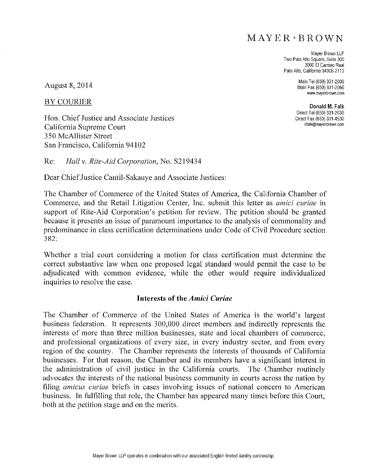## MAYER \* BROWN

Maver Brown LLP Two Palo Alto Square, Suite 300 3000 El Camino Real Palo Alto, California 94306-2112

> Main Tel (650) 331-2000 Main Fax (650) 331-2060 www.mayerbrown.com

Donald M. Falk Direct Tel (650) 331-2030 Direct Fax (650) 331-4530 dfalk@mayerbrown.com

**August 8, 2014** 

**BY COURIER** 

Hon. Chief Justice and Associate Justices California Supreme Court 350 McAllister Street San Francisco, California 94102

Re: Hall v. Rite-Aid Corporation, No. S219434

Dear Chief Justice Cantil-Sakauye and Associate Justices:

The Chamber of Commerce of the United States of America, the California Chamber of Commerce, and the Retail Litigation Center, Inc. submit this letter as *amici curiae* in support of Rite-Aid Corporation's petition for review. The petition should be granted because it presents an issue of paramount importance to the analysis of commonality and predominance in class certification determinations under Code of Civil Procedure section 382:

Whether a trial court considering a motion for class certification must determine the correct substantive law when one proposed legal standard would permit the case to be adjudicated with common evidence, while the other would require individualized inquiries to resolve the case.

## Interests of the *Amici Curiae*

The Chamber of Commerce of the United States of America is the world's largest business federation. It represents 300,000 direct members and indirectly represents the interests of more than three million businesses, state and local chambers of commerce, and professional organizations of every size, in every industry sector, and from every region of the country. The Chamber represents the interests of thousands of California businesses. For that reason, the Chamber and its members have a significant interest in the administration of civil justice in the California courts. The Chamber routinely advocates the interests of the national business community in courts across the nation by filing *amicus curiae* briefs in cases involving issues of national concern to American business. In fulfilling that role, the Chamber has appeared many times before this Court, both at the petition stage and on the merits.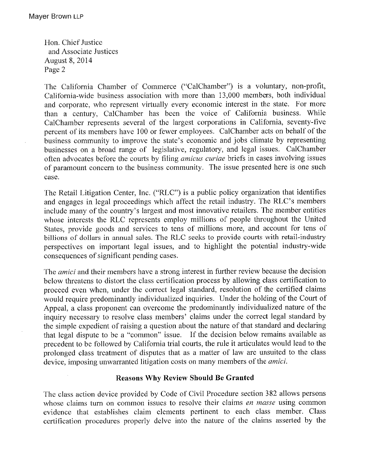Hon. Chief Justice and Associatc Justices August 8.2014 Page 2

The California Chamber of Commerce ("CalChamber") is a voluntary, non-profit, California-wide business association with more than 13,000 members, both individual and corporate, who represent virtually every economic interest in the state. For more than a century, CalChamber has been the voice of California business. While CalChamber represents several of the largest corporations in California, seventy-five percent of its members have 100 or fewer employees. CalChamber acts on behalf of the business comrnunity to improve the state's economic and iobs clirnate by representing businesses on a broad range of legislative, regulatory, and legal issues. CalChamber often advocates before the courts by filing *amicus curiae* briefs in cases involving issues of paramount concern to the business community. The issue presented here is one such câsc.

The Retail Litigation Center, Inc. ("RLC") is a public policy organization that identifies and engages in legal proceedings which affect the retail industry. The RLC's members include many of the country's largest and most innovative retailers. The member entities whose interests the RLC represents employ millions of people throughout the United States, provide goods and services to tens of millions more, and account for tens of billions of dollars in annual sales. The RLC seeks to provide courts with retail-industry perspectives on important legal issues, and to highlight the potential industry-wide consequences of significant pending cases.

The *amici* and their members have a strong interest in further review because the decision below threatens to distort the class certification process by allowing class certification to proceed even when, under the correct legal standard, resolution of the certifred claims would require predominantly individualized inquiries. Under the holding of the Court of Appeal, a class proponent can overcome the predominantly individualized nature of the inquiry necessary to resolve class members' claims under the correct legal standard by the sirnple expedient of raising a question about the nature of that standard and declaring that legal dispute to be a "common" issue. If the decision below remains available as precedent to be followed by Calilornia trial courts, the rule it articulates would lead to the prolonged class treatment of disputes that as a rnatter of law are unsuited to the class device, imposing unwarranted litigation costs on many members of the amici.

## Reasons Why Review Should Be Granted

The class action device provided by Code of Civil Procedure section 382 allows persons whose claims turn on common issues to resolve their claims *en masse* using common evidence that establishes claim elements pertinent to each class member. Class certification procedures properly delve into the nature of the claims asserted by the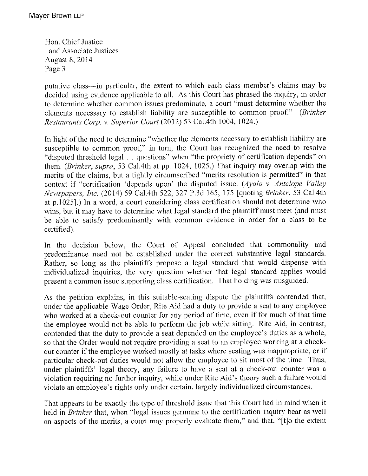FIon. Chief Justice and Associate Justices August B, 2014 Page <sup>3</sup>

putative class—in particular, the extent to which each class member's claims may be decided using evidence applicable to all. As this Court has phrased the inquiry, in order to determine whether common issues predominate, a court "must determine whether the elements necessary to establish liability are susceptible to common proof." (Brinker Restaurants Corp. v. Superior Court (2012) 53 Cal.4th 1004, 1024.)

In light of the need to determine "whether the elernents necessary to establish liability are susceptible to common proof," in turn, the Court has recognized the need to resolve "disputed threshold legal ... questions" when "the propriety of certification depends" on them. (Brinker, supra, 53 Cal.4th at pp. 1024, 1025.) That inquiry may overlap with the merits of the claims, but a tightly circumscribed "merits resolution is permitted" in that context if "certification 'depends upon' the disputed issue. (Ayala v. Antelope Valley Newspapers, Inc, (2014) 59 Cal.4th 522,327 P.3d 1ó5, 175 [quoting Brinker.53 Cal.4th at  $p.1025$ ].) In a word, a court considering class certification should not determine who wins, but it may have to determine what legal standard the plaintiff must meet (and must be able to satisfy predominantly with common evidence in order for a class to be certifìed).

In the decision below, the Court of Appeal concluded that commonality and predominance need not be established under the correct substantive legal standards. Rather, so long as the plaintiffs propose a legal standard that would dispense with individualized inquiries, the very question whether that legal standard applies would present a common issue supporting class certification. That holding was misguided.

As the petition explains, in this suitable-seating dispute the plaintiffs contended that, under the applicable Wage Order, Rite Aid had a duty to provide a seat to any employee who worked at a check-out counter for any period of time, even if for much of that time the employee would not be able to perform the job while sitting. Rite Aid, in contrast, contended that the duty to provide a seat depended on the employee's duties as a whole, so that the Order would not require providing a seat to an employee working at a checkout counter if the employee worked mostly at tasks where seating was inappropriate, or if particular check-out duties would not allow the employee to sit most of the time. Thus, under plaintiffs' legal theory, any làilure to have a seat at a check-out counter was a violation requiring no further inquiry, while under Rite Aid's theory such a failure would violate an ernployee's rights only under oertain, largely individualized oircumstances.

That appears to be exactly the type of threshold issue that this Court had in mind when it held in Brinker that, when "lcgal issues germane to the certification inquiry bear as well on aspects of the merits, a court may properly evaluate them," and that, "[t]o the extent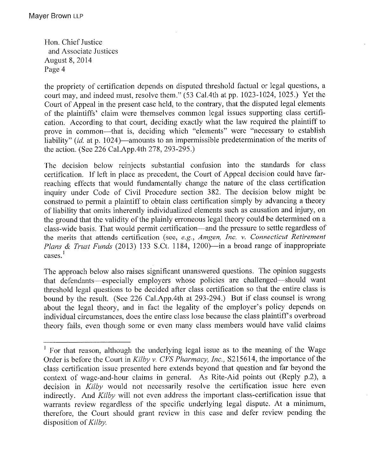Hon. Chief Justice and Associate Justices August 8, 2014 Page 4

the propriety of certification depends on disputed threshold factual or legal questions, a court may, and indeed must, resolve them." (53 Cal.4th at pp. 1023-1024, 1025.) Yet the Court of Appeal in the present case held, to the contrary, that the disputed legal elements of the plaintiffs' claim were themselves common legal issues supporting class certification. According to that court, deciding exactly what the law required the plaintiff to prove in common—that is, deciding which "elements" were "necessary to establish liability" (id. at p. 1024)—amounts to an impermissible predetermination of the merits of the action. (See 226 Cal.App.4th 278, 293-295.)

The decision below reinjects substantial confusion into the standards for class certification. If left in place as precedent, the Court of Appeal decision could have farreaching effects that would fundamentally change the nature of the class certification inquiry under Code of Civil Procedure section 382. The decision below might be construed to permit a plaintiff to obtain class certification simply by advancing a theory of liability that omits inherently individualized elements such as causation and injury, on the ground that the validity of the plainly erroneous legal theory could be determined on a class-wide basis. That would permit certification—and the pressure to settle regardless of the merits that attends certification (see, e.g., Amgen, Inc. v. Connecticut Retirement Plans & Trust Funds (2013) 133 S.Ct. 1184, 1200) in a broad range of inappropriate  $cases<sup>1</sup>$ 

The approach below also raises significant unanswered questions. The opinion suggests that defendants—especially employers whose policies are challenged—should want threshold legal questions to be decided after class certification so that the entire class is bound by the result. (See 226 Cal.App.4th at 293-294.) But if class counsel is wrong about the legal theory, and in fact the legality of the employer's policy depends on individual circumstances, does the entire class lose because the class plaintiff's overbroad theory fails, even though some or even many class members would have valid claims

<sup>&</sup>lt;sup>1</sup> For that reason, although the underlying legal issue as to the meaning of the Wage Order is before the Court in Kilby v. CVS Pharmacy, Inc.,  $S215614$ , the importance of the class certification issue presented here extends beyond that question and far beyond the context of wage-and-hour claims in general. As Rite-Aid points out (Reply p.2), a decision in Kilby would not necessarily resolve the certification issue here even indirectly. And Kilby will not even address the important class-certification issue that warrants review regardless of the specific underlying legal dispute. At a minimum, therefore, the Court should grant review in this case and defer review pending the disposition of Kilby.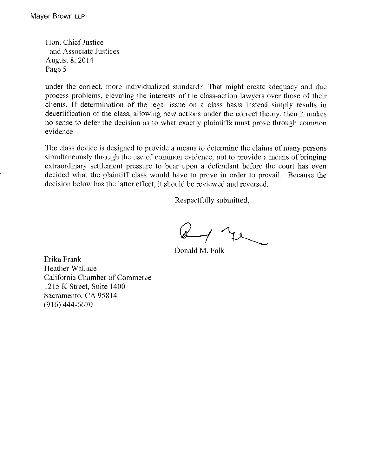Hon. Chief Justice and Associate Justices **August 8, 2014** Page 5

under the correct, more individualized standard? That might create adequacy and due process problems, elevating the interests of the class-action lawyers over those of their clients. If determination of the legal issue on a class basis instead simply results in decertification of the class, allowing new actions under the correct theory, then it makes no sense to defer the decision as to what exactly plaintiffs must prove through common evidence.

The class device is designed to provide a means to determine the claims of many persons simultaneously through the use of common evidence, not to provide a means of bringing extraordinary settlement pressure to bear upon a defendant before the court has even decided what the plaintiff class would have to prove in order to prevail. Because the decision below has the latter effect, it should be reviewed and reversed.

Respectfully submitted,

 $242$ 

Donald M. Falk

Erika Frank **Heather Wallace** California Chamber of Commerce 1215 K Street, Suite 1400 Sacramento, CA 95814  $(916)$  444-6670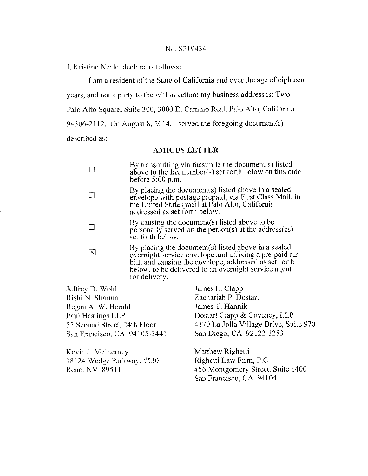I, Kristine Neale, declare as follows:

I am a resident of the State of California and over the age of eighteen

years, and not a party to the within action; my business address is: Two

Palo Alto Square, Suite 300, 3000 El Camino Real, Palo Alto, California

94306-2112. On August 8, 2014, I served the foregoing document(s)

described as:

## **AMICUS LETTER**

|                  | By transmitting via facsimile the document(s) listed<br>above to the fax number(s) set forth below on this date<br>before $5:00$ p.m.                                                                                                            |
|------------------|--------------------------------------------------------------------------------------------------------------------------------------------------------------------------------------------------------------------------------------------------|
|                  | By placing the document(s) listed above in a sealed<br>envelope with postage prepaid, via First Class Mail, in<br>the United States mail at Palo Alto, California<br>addressed as set forth below.                                               |
|                  | By causing the document(s) listed above to be<br>personally served on the person(s) at the address(es)<br>set forth below.                                                                                                                       |
| ⊠                | By placing the document(s) listed above in a sealed<br>overnight service envelope and affixing a pre-paid air<br>bill, and causing the envelope, addressed as set forth<br>below, to be delivered to an overnight service agent<br>for delivery. |
| $\ldots$ D Wable | Lomas E. Clann                                                                                                                                                                                                                                   |

Jeffrey D. Wohl Rishi N. Sharma Regan A. W. Herald Paul Hastings LLP 55 Second Street, 24th Floor San Francisco, CA 94105-3441

Kevin J. McInerney 18124 Wedge Parkway, #530 Reno, NV 89511

James E. Clapp Zachariah P. Dostart James T. Hannik Dostart Clapp & Coveney, LLP 4370 La Jolla Village Drive, Suite 970 San Diego, CA 92122-1253

Matthew Righetti Righetti Law Firm, P.C. 456 Montgomery Street, Suite 1400 San Francisco, CA 94104